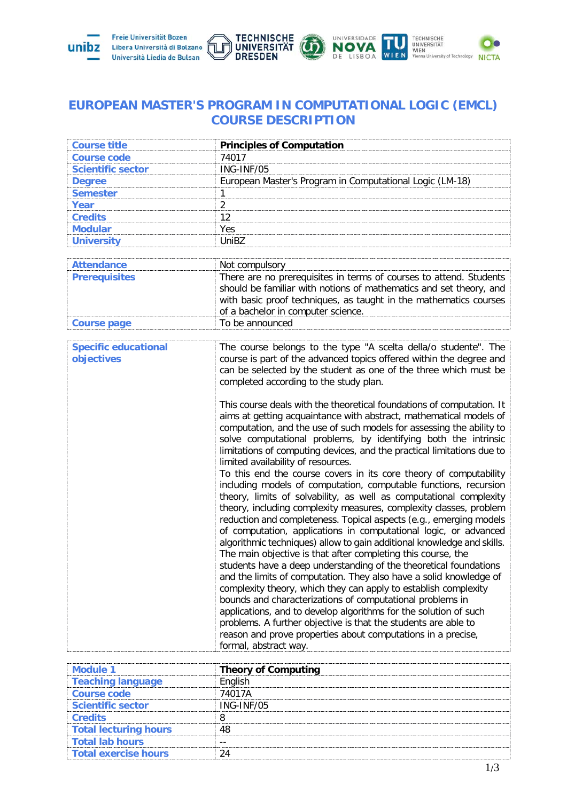

## **EUROPEAN MASTER'S PROGRAM IN COMPUTATIONAL LOGIC (EMCL) COURSE DESCRIPTION**

| Course title             | <b>Principles of Computation</b>                         |
|--------------------------|----------------------------------------------------------|
| <b>Course code</b>       | 74017                                                    |
| <b>Scientific sector</b> | $ING-INF/05$                                             |
| Dearee                   | European Master's Program in Computational Logic (LM-18) |
| mester                   |                                                          |
|                          |                                                          |
| Cradite                  |                                                          |
|                          | 'es                                                      |
|                          |                                                          |

| Attendance           | Not compulsory                                                     |  |  |  |  |
|----------------------|--------------------------------------------------------------------|--|--|--|--|
| <b>Prerequisites</b> | There are no prerequisites in terms of courses to attend. Students |  |  |  |  |
|                      | should be familiar with notions of mathematics and set theory, and |  |  |  |  |
|                      | with basic proof techniques, as taught in the mathematics courses  |  |  |  |  |
|                      | of a bachelor in computer science.                                 |  |  |  |  |
| <b>Course page</b>   | To be announced                                                    |  |  |  |  |

| <b>Specific educational</b><br>objectives | The course belongs to the type "A scelta della/o studente". The<br>course is part of the advanced topics offered within the degree and<br>can be selected by the student as one of the three which must be<br>completed according to the study plan.                                                                                                                                                                                                                                                                                                                                                                                                                                                                                                                                                                                                                                                                                                                                                                                                                                                                                                                                                                                                                                                                                                                                                                                                                                      |
|-------------------------------------------|-------------------------------------------------------------------------------------------------------------------------------------------------------------------------------------------------------------------------------------------------------------------------------------------------------------------------------------------------------------------------------------------------------------------------------------------------------------------------------------------------------------------------------------------------------------------------------------------------------------------------------------------------------------------------------------------------------------------------------------------------------------------------------------------------------------------------------------------------------------------------------------------------------------------------------------------------------------------------------------------------------------------------------------------------------------------------------------------------------------------------------------------------------------------------------------------------------------------------------------------------------------------------------------------------------------------------------------------------------------------------------------------------------------------------------------------------------------------------------------------|
|                                           | This course deals with the theoretical foundations of computation. It<br>aims at getting acquaintance with abstract, mathematical models of<br>computation, and the use of such models for assessing the ability to<br>solve computational problems, by identifying both the intrinsic<br>limitations of computing devices, and the practical limitations due to<br>limited availability of resources.<br>To this end the course covers in its core theory of computability<br>including models of computation, computable functions, recursion<br>theory, limits of solvability, as well as computational complexity<br>theory, including complexity measures, complexity classes, problem<br>reduction and completeness. Topical aspects (e.g., emerging models<br>of computation, applications in computational logic, or advanced<br>algorithmic techniques) allow to gain additional knowledge and skills.<br>The main objective is that after completing this course, the<br>students have a deep understanding of the theoretical foundations<br>and the limits of computation. They also have a solid knowledge of<br>complexity theory, which they can apply to establish complexity<br>bounds and characterizations of computational problems in<br>applications, and to develop algorithms for the solution of such<br>problems. A further objective is that the students are able to<br>reason and prove properties about computations in a precise,<br>formal, abstract way. |
|                                           |                                                                                                                                                                                                                                                                                                                                                                                                                                                                                                                                                                                                                                                                                                                                                                                                                                                                                                                                                                                                                                                                                                                                                                                                                                                                                                                                                                                                                                                                                           |

| 1 Aluho                      | <b>Theory of Computing</b> |
|------------------------------|----------------------------|
| <b>Teaching language</b>     | <b>Fnalish</b>             |
| <b>Course code</b>           | 74017A                     |
| <b>Scientific sector</b>     | ING-INF/05                 |
| <b>Credits</b>               |                            |
| <b>Total lecturing hours</b> |                            |
| <b>Total lab hours</b>       |                            |
| <b>Total exercise hours</b>  |                            |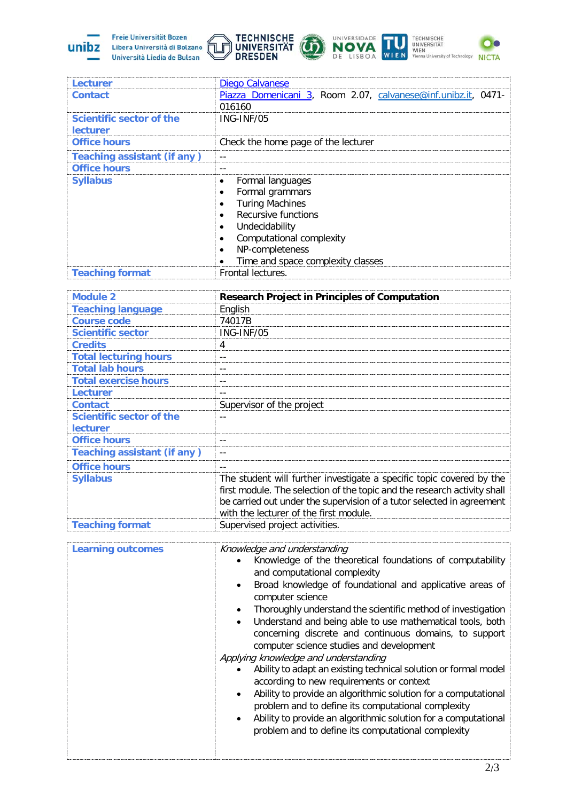

 $\equiv$ 





| Lecturer                           | Diego Calvanese                                               |  |  |  |  |  |  |
|------------------------------------|---------------------------------------------------------------|--|--|--|--|--|--|
| <b>Contact</b>                     | Piazza Domenicani 3, Room 2.07, calvanese@inf.unibz.it, 0471- |  |  |  |  |  |  |
|                                    | 016160                                                        |  |  |  |  |  |  |
| Scientific sector of the           | ING-INF/05                                                    |  |  |  |  |  |  |
| <b>lecturer</b>                    |                                                               |  |  |  |  |  |  |
| <b>Office hours</b>                | Check the home page of the lecturer                           |  |  |  |  |  |  |
| <b>Teaching assistant (if any)</b> |                                                               |  |  |  |  |  |  |
| <b>Office hours</b>                |                                                               |  |  |  |  |  |  |
| <b>Syllabus</b>                    | Formal languages<br>٠                                         |  |  |  |  |  |  |
|                                    | Formal grammars                                               |  |  |  |  |  |  |
|                                    | <b>Turing Machines</b>                                        |  |  |  |  |  |  |
|                                    | Recursive functions                                           |  |  |  |  |  |  |
|                                    | Undecidability<br>$\bullet$                                   |  |  |  |  |  |  |
|                                    | Computational complexity                                      |  |  |  |  |  |  |
|                                    | NP-completeness<br>$\bullet$                                  |  |  |  |  |  |  |
|                                    | Time and space complexity classes                             |  |  |  |  |  |  |
| <b>Teaching format</b>             | Frontal lectures.                                             |  |  |  |  |  |  |

| <b>Module 2</b>                    | <b>Research Project in Principles of Computation</b>                                                                                                                                                                                                                |  |  |  |  |
|------------------------------------|---------------------------------------------------------------------------------------------------------------------------------------------------------------------------------------------------------------------------------------------------------------------|--|--|--|--|
| <b>Teaching language</b>           | English                                                                                                                                                                                                                                                             |  |  |  |  |
| <b>Course code</b>                 | 74017B                                                                                                                                                                                                                                                              |  |  |  |  |
| <b>Scientific sector</b>           | ING-INF/05                                                                                                                                                                                                                                                          |  |  |  |  |
| <b>Credits</b>                     | 4                                                                                                                                                                                                                                                                   |  |  |  |  |
| <b>Total lecturing hours</b>       |                                                                                                                                                                                                                                                                     |  |  |  |  |
| <b>Total lab hours</b>             | - -                                                                                                                                                                                                                                                                 |  |  |  |  |
| <b>Total exercise hours</b>        | --                                                                                                                                                                                                                                                                  |  |  |  |  |
| Lecturer                           |                                                                                                                                                                                                                                                                     |  |  |  |  |
| <b>Contact</b>                     | Supervisor of the project                                                                                                                                                                                                                                           |  |  |  |  |
| Scientific sector of the           |                                                                                                                                                                                                                                                                     |  |  |  |  |
| <b>lecturer</b>                    |                                                                                                                                                                                                                                                                     |  |  |  |  |
| <b>Office hours</b>                | --                                                                                                                                                                                                                                                                  |  |  |  |  |
| <b>Teaching assistant (if any)</b> | --                                                                                                                                                                                                                                                                  |  |  |  |  |
| <b>Office hours</b>                | $ -$                                                                                                                                                                                                                                                                |  |  |  |  |
| <b>Syllabus</b>                    | The student will further investigate a specific topic covered by the<br>first module. The selection of the topic and the research activity shall<br>be carried out under the supervision of a tutor selected in agreement<br>with the lecturer of the first module. |  |  |  |  |
| <b>Teaching format</b>             | Supervised project activities.                                                                                                                                                                                                                                      |  |  |  |  |

| <b>Learning outcomes</b> | Knowledge and understanding<br>Knowledge of the theoretical foundations of computability<br>and computational complexity<br>Broad knowledge of foundational and applicative areas of<br>computer science<br>Thoroughly understand the scientific method of investigation<br>Understand and being able to use mathematical tools, both<br>concerning discrete and continuous domains, to support<br>computer science studies and development<br>Applying knowledge and understanding<br>Ability to adapt an existing technical solution or formal model<br>according to new requirements or context<br>Ability to provide an algorithmic solution for a computational<br>problem and to define its computational complexity<br>Ability to provide an algorithmic solution for a computational<br>problem and to define its computational complexity |
|--------------------------|----------------------------------------------------------------------------------------------------------------------------------------------------------------------------------------------------------------------------------------------------------------------------------------------------------------------------------------------------------------------------------------------------------------------------------------------------------------------------------------------------------------------------------------------------------------------------------------------------------------------------------------------------------------------------------------------------------------------------------------------------------------------------------------------------------------------------------------------------|
|--------------------------|----------------------------------------------------------------------------------------------------------------------------------------------------------------------------------------------------------------------------------------------------------------------------------------------------------------------------------------------------------------------------------------------------------------------------------------------------------------------------------------------------------------------------------------------------------------------------------------------------------------------------------------------------------------------------------------------------------------------------------------------------------------------------------------------------------------------------------------------------|